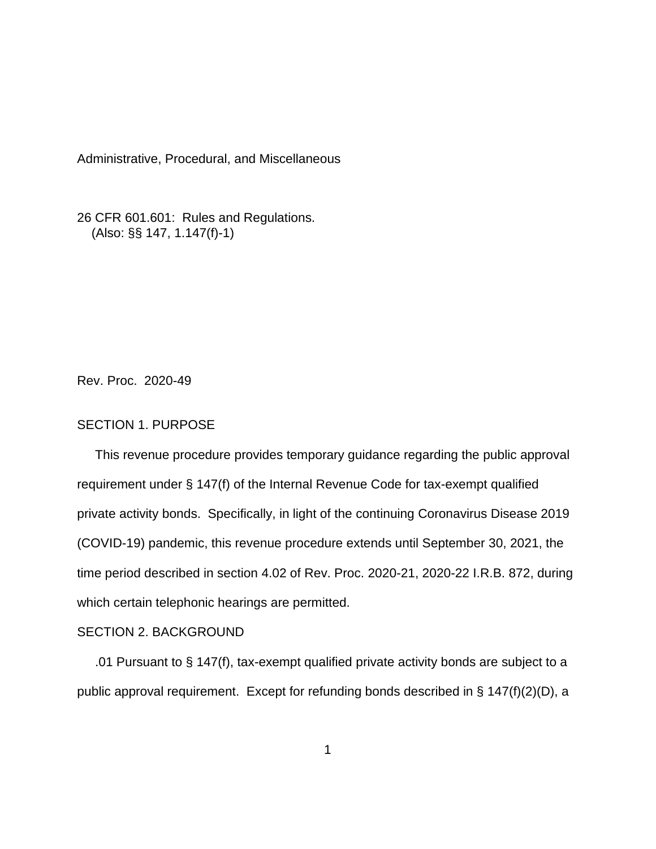Administrative, Procedural, and Miscellaneous

26 CFR 601.601: Rules and Regulations. (Also: §§ 147, 1.147(f)-1)

Rev. Proc. 2020-49

## SECTION 1. PURPOSE

 This revenue procedure provides temporary guidance regarding the public approval requirement under § 147(f) of the Internal Revenue Code for tax-exempt qualified private activity bonds. Specifically, in light of the continuing Coronavirus Disease 2019 (COVID-19) pandemic, this revenue procedure extends until September 30, 2021, the time period described in section 4.02 of Rev. Proc. 2020-21, 2020-22 I.R.B. 872, during which certain telephonic hearings are permitted.

## SECTION 2. BACKGROUND

 .01 Pursuant to § 147(f), tax-exempt qualified private activity bonds are subject to a public approval requirement. Except for refunding bonds described in § 147(f)(2)(D), a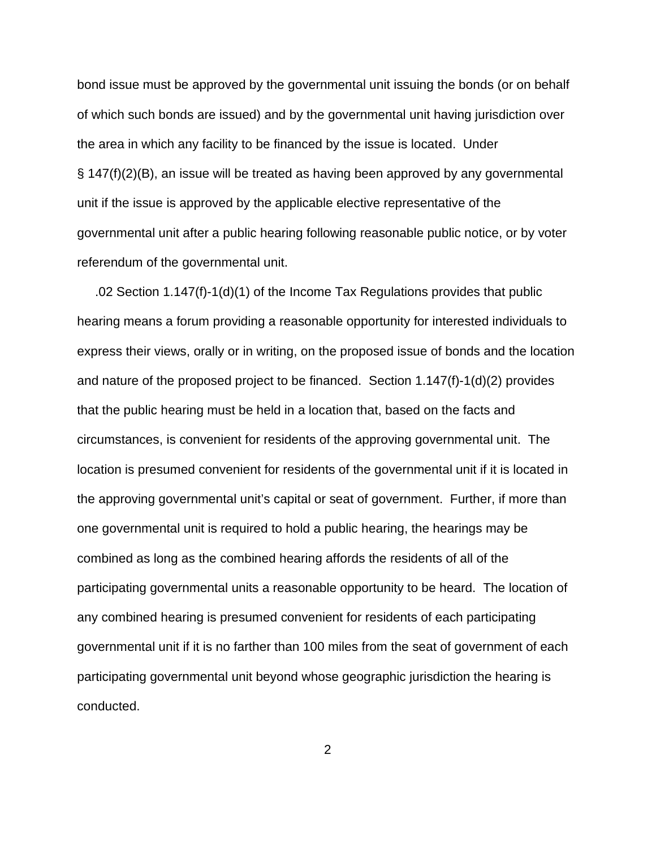bond issue must be approved by the governmental unit issuing the bonds (or on behalf of which such bonds are issued) and by the governmental unit having jurisdiction over the area in which any facility to be financed by the issue is located. Under § 147(f)(2)(B), an issue will be treated as having been approved by any governmental unit if the issue is approved by the applicable elective representative of the governmental unit after a public hearing following reasonable public notice, or by voter referendum of the governmental unit.

 .02 Section 1.147(f)-1(d)(1) of the Income Tax Regulations provides that public hearing means a forum providing a reasonable opportunity for interested individuals to express their views, orally or in writing, on the proposed issue of bonds and the location and nature of the proposed project to be financed. Section 1.147(f)-1(d)(2) provides that the public hearing must be held in a location that, based on the facts and circumstances, is convenient for residents of the approving governmental unit. The location is presumed convenient for residents of the governmental unit if it is located in the approving governmental unit's capital or seat of government. Further, if more than one governmental unit is required to hold a public hearing, the hearings may be combined as long as the combined hearing affords the residents of all of the participating governmental units a reasonable opportunity to be heard. The location of any combined hearing is presumed convenient for residents of each participating governmental unit if it is no farther than 100 miles from the seat of government of each participating governmental unit beyond whose geographic jurisdiction the hearing is conducted.

2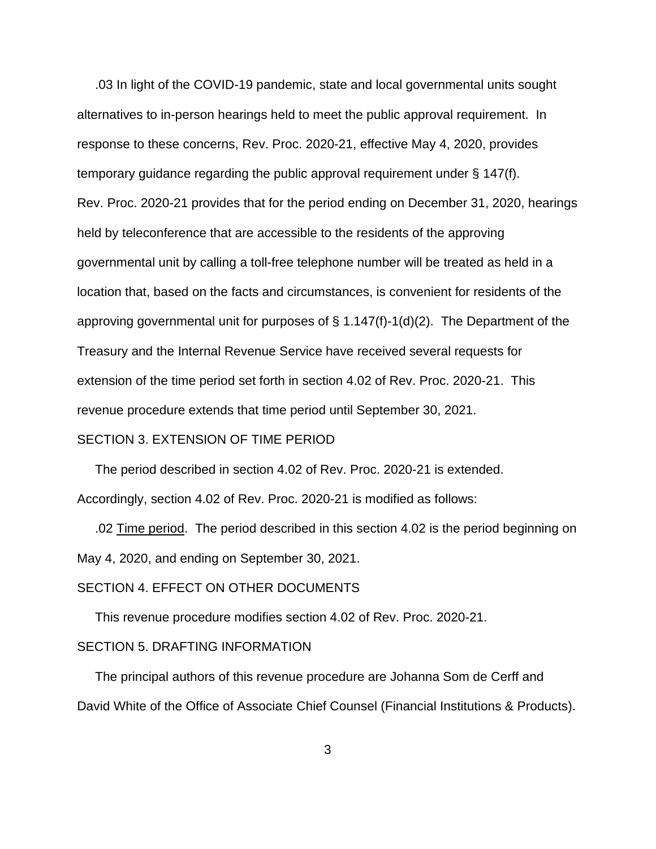.03 In light of the COVID-19 pandemic, state and local governmental units sought alternatives to in-person hearings held to meet the public approval requirement. In response to these concerns, Rev. Proc. 2020-21, effective May 4, 2020, provides temporary guidance regarding the public approval requirement under § 147(f). Rev. Proc. 2020-21 provides that for the period ending on December 31, 2020, hearings held by teleconference that are accessible to the residents of the approving governmental unit by calling a toll-free telephone number will be treated as held in a location that, based on the facts and circumstances, is convenient for residents of the approving governmental unit for purposes of § 1.147(f)-1(d)(2). The Department of the Treasury and the Internal Revenue Service have received several requests for extension of the time period set forth in section 4.02 of Rev. Proc. 2020-21. This revenue procedure extends that time period until September 30, 2021.

### SECTION 3. EXTENSION OF TIME PERIOD

 The period described in section 4.02 of Rev. Proc. 2020-21 is extended. Accordingly, section 4.02 of Rev. Proc. 2020-21 is modified as follows:

 .02 Time period. The period described in this section 4.02 is the period beginning on May 4, 2020, and ending on September 30, 2021.

# SECTION 4. EFFECT ON OTHER DOCUMENTS

This revenue procedure modifies section 4.02 of Rev. Proc. 2020-21.

#### SECTION 5. DRAFTING INFORMATION

 The principal authors of this revenue procedure are Johanna Som de Cerff and David White of the Office of Associate Chief Counsel (Financial Institutions & Products).